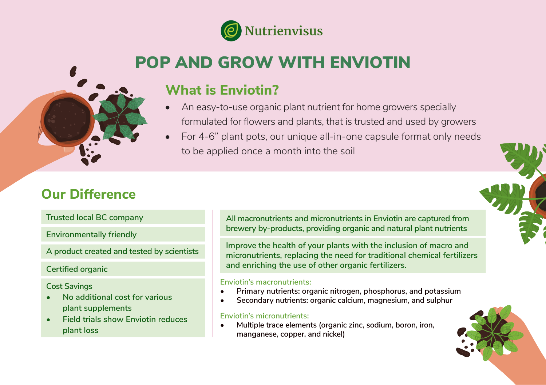

# POP AND GROW WITH ENVIOTIN

### **What is Enviotin?**

- An easy-to-use organic plant nutrient for home growers specially formulated for flowers and plants, that is trusted and used by growers
- For 4-6" plant pots, our unique all-in-one capsule format only needs to be applied once a month into the soil

### **Our Difference**

**Trusted local BC company**

**Environmentally friendly**

**Certified organic**

#### **Cost Savings**

- **• No additional cost for various plant supplements**
- **• Field trials show Enviotin reduces plant loss**

**All macronutrients and micronutrients in Enviotin are captured from brewery by-products, providing organic and natural plant nutrients**

**A product created and tested by scientists Improve the health of your plants with the inclusion of macro and micronutrients, replacing the need for traditional chemical fertilizers and enriching the use of other organic fertilizers.**

#### **Enviotin's macronutrients:**

- **• Primary nutrients: organic nitrogen, phosphorus, and potassium**
- **• Secondary nutrients: organic calcium, magnesium, and sulphur**

#### **Enviotin's micronutrients:**

**• Multiple trace elements (organic zinc, sodium, boron, iron, manganese, copper, and nickel)**

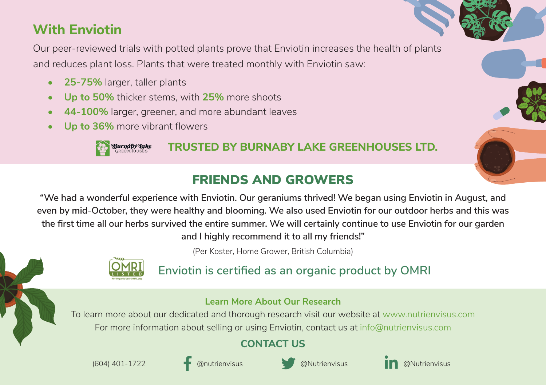# **With Enviotin**

Our peer-reviewed trials with potted plants prove that Enviotin increases the health of plants and reduces plant loss. Plants that were treated monthly with Enviotin saw:

- **• 25-75%** larger, taller plants
- **• Up to 50%** thicker stems, with **25%** more shoots
- **• 44-100%** larger, greener, and more abundant leaves
- **• Up to 36%** more vibrant flowers



**TRUSTED BY BURNABY LAKE GREENHOUSES LTD.**

### FRIENDS AND GROWERS

**"We had a wonderful experience with Enviotin. Our geraniums thrived! We began using Enviotin in August, and even by mid-October, they were healthy and blooming. We also used Enviotin for our outdoor herbs and this was the first time all our herbs survived the entire summer. We will certainly continue to use Enviotin for our garden and I highly recommend it to all my friends!"** 

(Per Koster, Home Grower, British Columbia)

**Enviotin is certified as an organic product by OMRI**

### **Learn More About Our Research**

To learn more about our dedicated and thorough research visit our website at www.nutrienvisus.com For more information about selling or using Enviotin, contact us at info@nutrienvisus.com

### **CONTACT US**